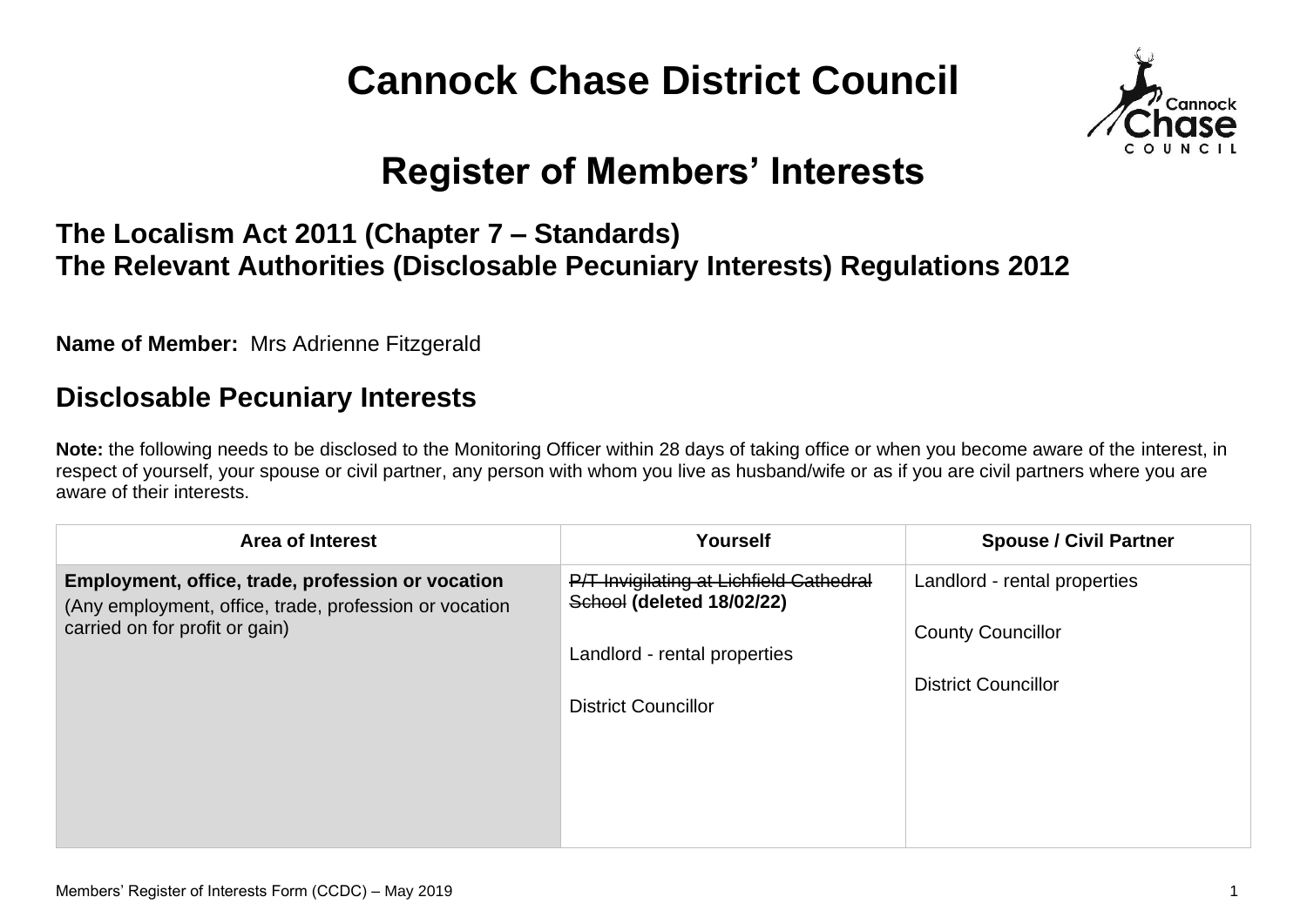# **Cannock Chase District Council**



## **Register of Members' Interests**

#### **The Localism Act 2011 (Chapter 7 – Standards) The Relevant Authorities (Disclosable Pecuniary Interests) Regulations 2012**

**Name of Member:** Mrs Adrienne Fitzgerald

#### **Disclosable Pecuniary Interests**

**Note:** the following needs to be disclosed to the Monitoring Officer within 28 days of taking office or when you become aware of the interest, in respect of yourself, your spouse or civil partner, any person with whom you live as husband/wife or as if you are civil partners where you are aware of their interests.

| <b>Area of Interest</b>                                                                                                                       | <b>Yourself</b>                                                      | <b>Spouse / Civil Partner</b> |
|-----------------------------------------------------------------------------------------------------------------------------------------------|----------------------------------------------------------------------|-------------------------------|
| Employment, office, trade, profession or vocation<br>(Any employment, office, trade, profession or vocation<br>carried on for profit or gain) | P/T Invigilating at Lichfield Cathedral<br>School (deleted 18/02/22) | Landlord - rental properties  |
|                                                                                                                                               |                                                                      | <b>County Councillor</b>      |
|                                                                                                                                               | Landlord - rental properties<br><b>District Councillor</b>           | <b>District Councillor</b>    |
|                                                                                                                                               |                                                                      |                               |
|                                                                                                                                               |                                                                      |                               |
|                                                                                                                                               |                                                                      |                               |
|                                                                                                                                               |                                                                      |                               |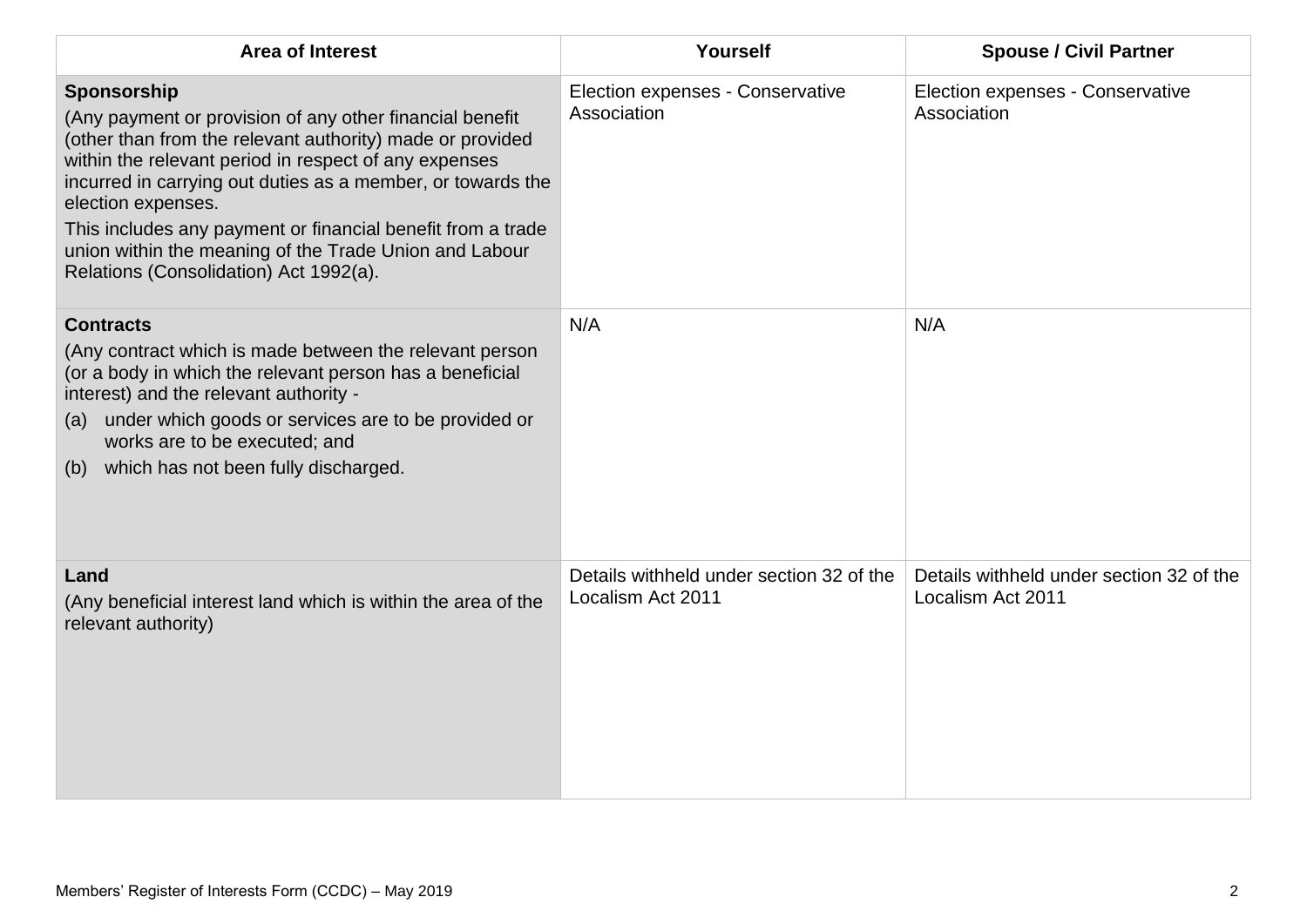| <b>Area of Interest</b>                                                                                                                                                                                                                                                                                                                                                                                                                               | Yourself                                                      | <b>Spouse / Civil Partner</b>                                 |
|-------------------------------------------------------------------------------------------------------------------------------------------------------------------------------------------------------------------------------------------------------------------------------------------------------------------------------------------------------------------------------------------------------------------------------------------------------|---------------------------------------------------------------|---------------------------------------------------------------|
| Sponsorship<br>(Any payment or provision of any other financial benefit<br>(other than from the relevant authority) made or provided<br>within the relevant period in respect of any expenses<br>incurred in carrying out duties as a member, or towards the<br>election expenses.<br>This includes any payment or financial benefit from a trade<br>union within the meaning of the Trade Union and Labour<br>Relations (Consolidation) Act 1992(a). | Election expenses - Conservative<br>Association               | Election expenses - Conservative<br>Association               |
| <b>Contracts</b><br>(Any contract which is made between the relevant person<br>(or a body in which the relevant person has a beneficial<br>interest) and the relevant authority -<br>under which goods or services are to be provided or<br>(a)<br>works are to be executed; and<br>(b) which has not been fully discharged.                                                                                                                          | N/A                                                           | N/A                                                           |
| Land<br>(Any beneficial interest land which is within the area of the<br>relevant authority)                                                                                                                                                                                                                                                                                                                                                          | Details withheld under section 32 of the<br>Localism Act 2011 | Details withheld under section 32 of the<br>Localism Act 2011 |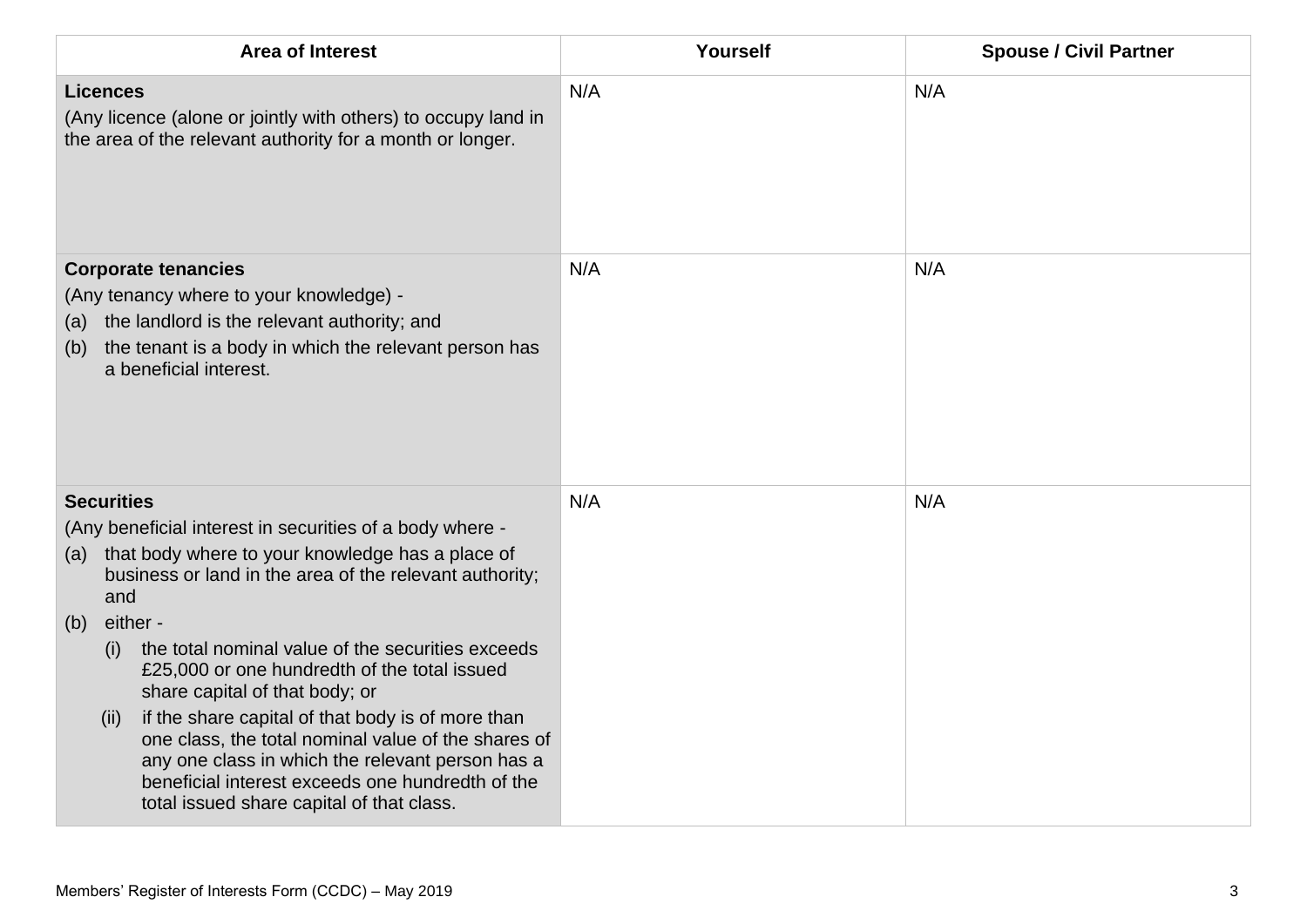| <b>Area of Interest</b>                                                                                                                                                                                                                                                                                                                                                                                                                                                                                                                                                                                                                              | Yourself | <b>Spouse / Civil Partner</b> |
|------------------------------------------------------------------------------------------------------------------------------------------------------------------------------------------------------------------------------------------------------------------------------------------------------------------------------------------------------------------------------------------------------------------------------------------------------------------------------------------------------------------------------------------------------------------------------------------------------------------------------------------------------|----------|-------------------------------|
| <b>Licences</b><br>(Any licence (alone or jointly with others) to occupy land in<br>the area of the relevant authority for a month or longer.                                                                                                                                                                                                                                                                                                                                                                                                                                                                                                        | N/A      | N/A                           |
| <b>Corporate tenancies</b><br>(Any tenancy where to your knowledge) -<br>the landlord is the relevant authority; and<br>(a)<br>the tenant is a body in which the relevant person has<br>(b)<br>a beneficial interest.                                                                                                                                                                                                                                                                                                                                                                                                                                | N/A      | N/A                           |
| <b>Securities</b><br>(Any beneficial interest in securities of a body where -<br>that body where to your knowledge has a place of<br>(a)<br>business or land in the area of the relevant authority;<br>and<br>either -<br>(b)<br>the total nominal value of the securities exceeds<br>(i)<br>£25,000 or one hundredth of the total issued<br>share capital of that body; or<br>if the share capital of that body is of more than<br>(ii)<br>one class, the total nominal value of the shares of<br>any one class in which the relevant person has a<br>beneficial interest exceeds one hundredth of the<br>total issued share capital of that class. | N/A      | N/A                           |